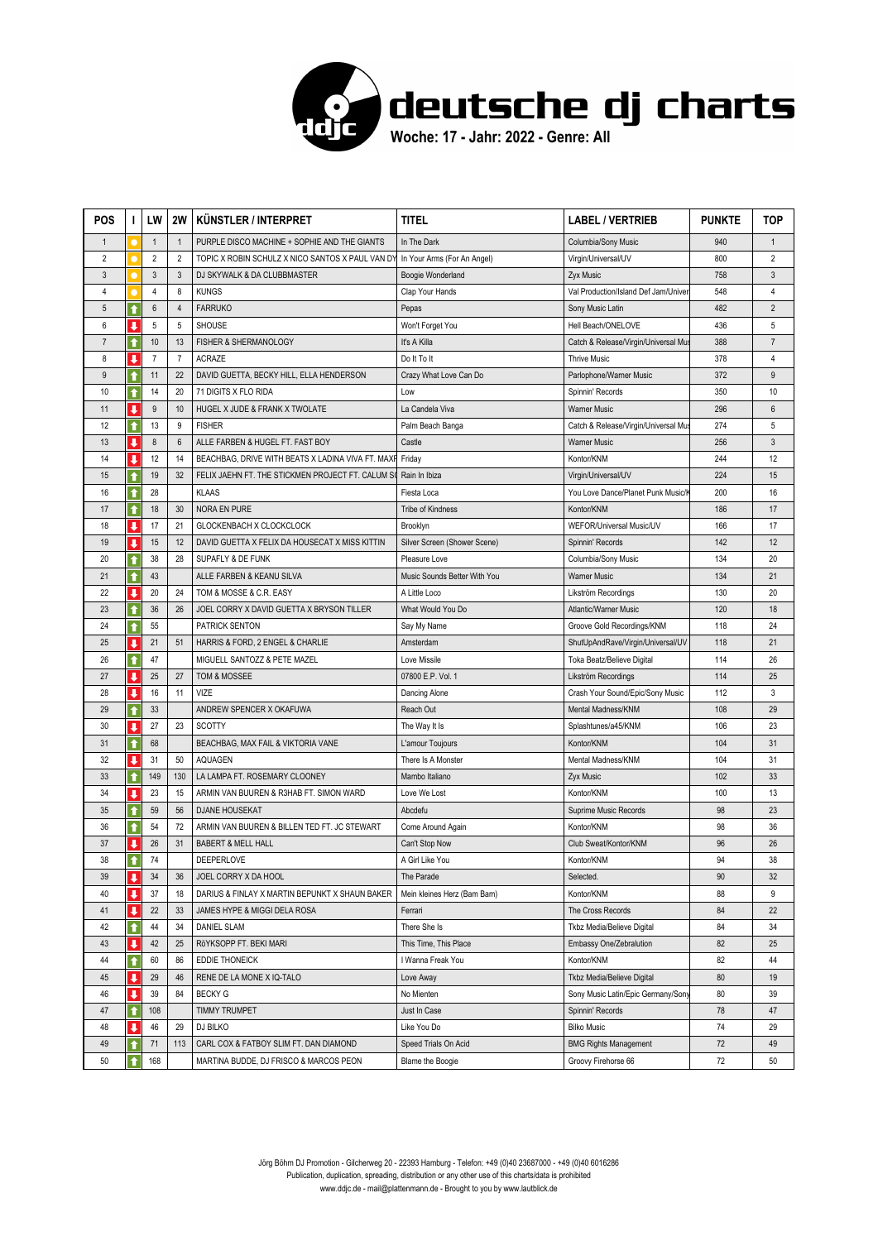

| <b>POS</b>     | I.                      | LW               | <b>2W</b>      | KÜNSTLER / INTERPRET                              | titel                        | <b>LABEL / VERTRIEB</b>              | <b>PUNKTE</b> | TOP            |
|----------------|-------------------------|------------------|----------------|---------------------------------------------------|------------------------------|--------------------------------------|---------------|----------------|
| $\mathbf{1}$   |                         | $\mathbf{1}$     | $\mathbf{1}$   | PURPLE DISCO MACHINE + SOPHIE AND THE GIANTS      | In The Dark                  | Columbia/Sony Music                  | 940           | $\mathbf{1}$   |
| $\overline{2}$ |                         | $\overline{2}$   | $\overline{2}$ | TOPIC X ROBIN SCHULZ X NICO SANTOS X PAUL VAN DY  | In Your Arms (For An Angel)  | Virgin/Universal/UV                  | 800           | $\overline{2}$ |
| $\mathfrak{Z}$ |                         | $\mathbf{3}$     | $\mathbf{3}$   | DJ SKYWALK & DA CLUBBMASTER                       | Boogie Wonderland            | <b>Zyx Music</b>                     | 758           | 3              |
| $\overline{4}$ |                         | $\overline{4}$   | 8              | <b>KUNGS</b>                                      | Clap Your Hands              | Val Production/Island Def Jam/Univer | 548           | 4              |
| $\sqrt{5}$     | ↑                       | $\boldsymbol{6}$ | $\overline{4}$ | <b>FARRUKO</b>                                    | Pepas                        | Sony Music Latin                     | 482           | $\overline{2}$ |
| 6              | J                       | 5                | 5              | <b>SHOUSE</b>                                     | Won't Forget You             | Hell Beach/ONELOVE                   | 436           | 5              |
| $\overline{7}$ | $\ddot{\textbf{t}}$     | 10               | 13             | FISHER & SHERMANOLOGY                             | It's A Killa                 | Catch & Release/Virgin/Universal Mus | 388           | $\overline{7}$ |
| 8              | J.                      | $\overline{7}$   | $\overline{7}$ | <b>ACRAZE</b>                                     | Do It To It                  | <b>Thrive Music</b>                  | 378           | 4              |
| 9              | $\bullet$               | 11               | 22             | DAVID GUETTA, BECKY HILL, ELLA HENDERSON          | Crazy What Love Can Do       | Parlophone/Warner Music              | 372           | 9              |
| 10             | ↑                       | 14               | 20             | 71 DIGITS X FLO RIDA                              | Low                          | Spinnin' Records                     | 350           | 10             |
| 11             | J                       | 9                | 10             | HUGEL X JUDE & FRANK X TWOLATE                    | La Candela Viva              | <b>Warner Music</b>                  | 296           | $6\,$          |
| 12             | ↑                       | 13               | 9              | <b>FISHER</b>                                     | Palm Beach Banga             | Catch & Release/Virgin/Universal Mus | 274           | 5              |
| 13             | ↓                       | $\bf 8$          | $6\phantom{1}$ | ALLE FARBEN & HUGEL FT. FAST BOY                  | Castle                       | <b>Warner Music</b>                  | 256           | $\mathbf{3}$   |
| 14             | ↓                       | 12               | 14             | BEACHBAG, DRIVE WITH BEATS X LADINA VIVA FT. MAXF | Friday                       | Kontor/KNM                           | 244           | 12             |
| 15             |                         | 19               | 32             | FELIX JAEHN FT. THE STICKMEN PROJECT FT. CALUM SO | Rain In Ibiza                | Virgin/Universal/UV                  | 224           | 15             |
| 16             | ↑                       | 28               |                | <b>KLAAS</b>                                      | Fiesta Loca                  | You Love Dance/Planet Punk Music/ŀ   | 200           | 16             |
| 17             | $\hat{\mathbf{r}}$      | 18               | 30             | <b>NORA EN PURE</b>                               | <b>Tribe of Kindness</b>     | Kontor/KNM                           | 186           | 17             |
| 18             | J                       | 17               | 21             | GLOCKENBACH X CLOCKCLOCK                          | Brooklyn                     | WEFOR/Universal Music/UV             | 166           | 17             |
| 19             | J                       | 15               | 12             | DAVID GUETTA X FELIX DA HOUSECAT X MISS KITTIN    | Silver Screen (Shower Scene) | Spinnin' Records                     | 142           | 12             |
| 20             | ↑                       | 38               | 28             | <b>SUPAFLY &amp; DE FUNK</b>                      | Pleasure Love                | Columbia/Sony Music                  | 134           | 20             |
| 21             | ↑                       | 43               |                | ALLE FARBEN & KEANU SILVA                         | Music Sounds Better With You | <b>Warner Music</b>                  | 134           | 21             |
| 22             | ↓                       | 20               | 24             | TOM & MOSSE & C.R. EASY                           | A Little Loco                | Likström Recordings                  | 130           | 20             |
| 23             | ↑                       | 36               | 26             | JOEL CORRY X DAVID GUETTA X BRYSON TILLER         | What Would You Do            | <b>Atlantic/Warner Music</b>         | 120           | 18             |
| 24             | ↑                       | 55               |                | PATRICK SENTON                                    | Say My Name                  | Groove Gold Recordings/KNM           | 118           | 24             |
| 25             | ı                       | 21               | 51             | HARRIS & FORD, 2 ENGEL & CHARLIE                  | Amsterdam                    | ShutUpAndRave/Virgin/Universal/UV    | 118           | 21             |
| 26             | $\ddot{\textbf{t}}$     | 47               |                | MIGUELL SANTOZZ & PETE MAZEL                      | Love Missile                 | Toka Beatz/Believe Digital           | 114           | 26             |
| 27             | J                       | 25               | 27             | TOM & MOSSEE                                      | 07800 E.P. Vol. 1            | Likström Recordings                  | 114           | 25             |
| 28             | ↓                       | 16               | 11             | VIZE                                              | Dancing Alone                | Crash Your Sound/Epic/Sony Music     | 112           | 3              |
| 29             | $\bullet$               | 33               |                | ANDREW SPENCER X OKAFUWA                          | Reach Out                    | Mental Madness/KNM                   | 108           | 29             |
| 30             | ↓                       | 27               | 23             | <b>SCOTTY</b>                                     | The Way It Is                | Splashtunes/a45/KNM                  | 106           | 23             |
| 31             | ↑                       | 68               |                | BEACHBAG, MAX FAIL & VIKTORIA VANE                | L'amour Toujours             | Kontor/KNM                           | 104           | 31             |
| 32             | ↓                       | 31               | 50             | <b>AQUAGEN</b>                                    | There Is A Monster           | Mental Madness/KNM                   | 104           | 31             |
| 33             | ↑                       | 149              | 130            | LA LAMPA FT. ROSEMARY CLOONEY                     | Mambo Italiano               | <b>Zyx Music</b>                     | 102           | 33             |
| 34             | J                       | 23               | 15             | ARMIN VAN BUUREN & R3HAB FT. SIMON WARD           | Love We Lost                 | Kontor/KNM                           | 100           | 13             |
| 35             | ↑                       | 59               | 56             | <b>DJANE HOUSEKAT</b>                             | Abcdefu                      | Suprime Music Records                | 98            | 23             |
| 36             | ↟                       | 54               | 72             | ARMIN VAN BUUREN & BILLEN TED FT. JC STEWART      | Come Around Again            | Kontor/KNM                           | 98            | 36             |
| 37             | $\overline{\mathbf{I}}$ | 26               | 31             | <b>BABERT &amp; MELL HALL</b>                     | Can't Stop Now               | Club Sweat/Kontor/KNM                | 96            | 26             |
| 38             | $\ddot{\bullet}$        | 74               |                | DEEPERLOVE                                        | A Girl Like You              | Kontor/KNM                           | 94            | 38             |
| 39             | ↓                       | 34               | 36             | JOEL CORRY X DA HOOL                              | The Parade                   | Selected.                            | 90            | 32             |
| 40             | ↓                       | 37               | 18             | DARIUS & FINLAY X MARTIN BEPUNKT X SHAUN BAKER    | Mein kleines Herz (Bam Bam)  | Kontor/KNM                           | 88            | 9              |
| 41             | ↓                       | 22               | 33             | JAMES HYPE & MIGGI DELA ROSA                      | Ferrari                      | The Cross Records                    | 84            | 22             |
| 42             | ↑                       | 44               | 34             | <b>DANIEL SLAM</b>                                | There She Is                 | Tkbz Media/Believe Digital           | 84            | 34             |
| 43             | J                       | 42               | 25             | RöYKSOPP FT. BEKI MARI                            | This Time, This Place        | Embassy One/Zebralution              | 82            | 25             |
| 44             | ↑                       | 60               | 86             | <b>EDDIE THONEICK</b>                             | I Wanna Freak You            | Kontor/KNM                           | 82            | 44             |
| 45             | $\overline{\mathbf{I}}$ | 29               | 46             | RENE DE LA MONE X IQ-TALO                         | Love Away                    | Tkbz Media/Believe Digital           | 80            | 19             |
| 46             | ↓                       | 39               | 84             | <b>BECKY G</b>                                    | No Mienten                   | Sony Music Latin/Epic Germany/Sony   | 80            | 39             |
| 47             | ↑                       | 108              |                | <b>TIMMY TRUMPET</b>                              | Just In Case                 | Spinnin' Records                     | 78            | 47             |
| 48             | ↓                       | 46               | 29             | DJ BILKO                                          | Like You Do                  | <b>Bilko Music</b>                   | 74            | 29             |
| 49             |                         | 71               | 113            | CARL COX & FATBOY SLIM FT. DAN DIAMOND            | Speed Trials On Acid         | <b>BMG Rights Management</b>         | 72            | 49             |
| 50             | ↑                       | 168              |                | MARTINA BUDDE, DJ FRISCO & MARCOS PEON            | Blame the Boogie             | Groovy Firehorse 66                  | 72            | 50             |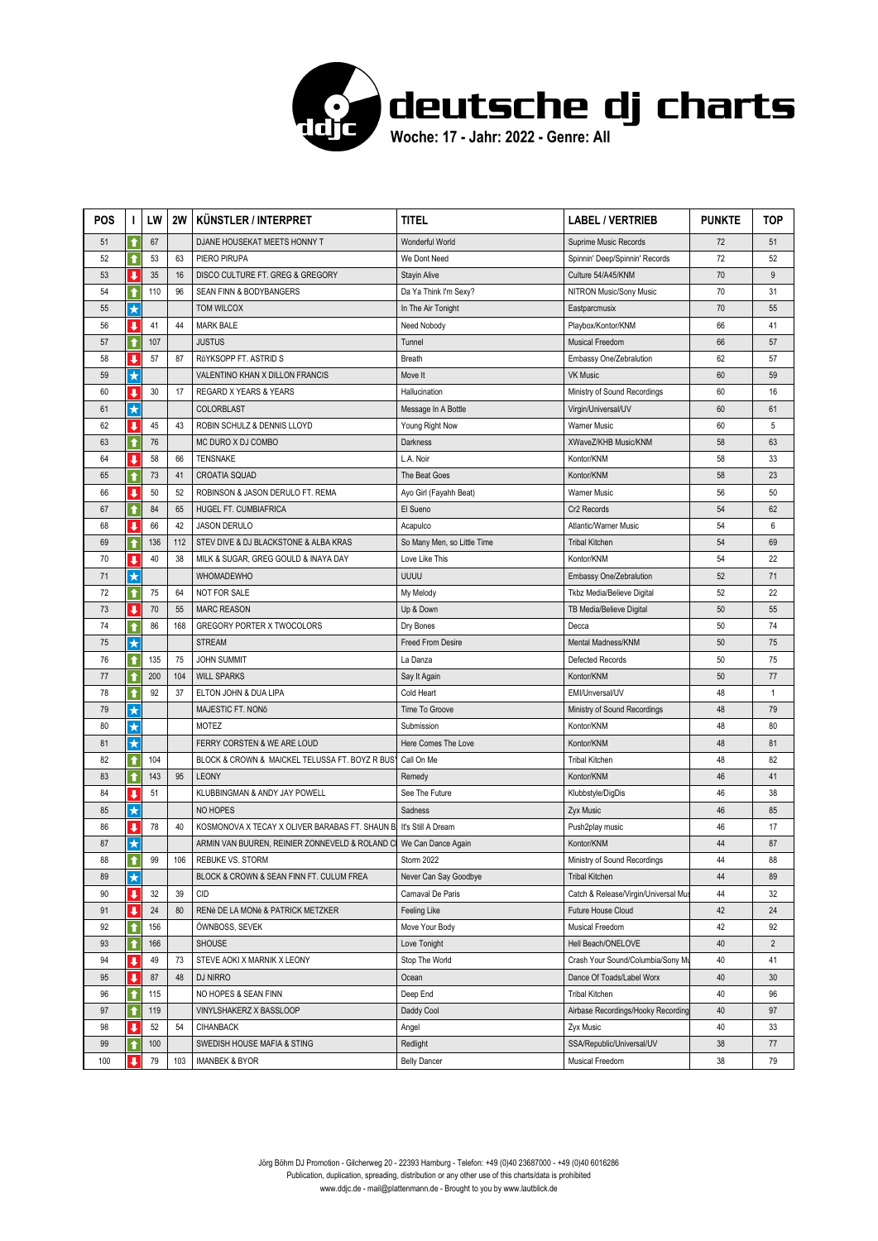

| <b>POS</b> | I.                                              | LW        | 2W       | KÜNSTLER / INTERPRET                            | titel                          | <b>LABEL / VERTRIEB</b>                                        | <b>PUNKTE</b> | TOP                  |
|------------|-------------------------------------------------|-----------|----------|-------------------------------------------------|--------------------------------|----------------------------------------------------------------|---------------|----------------------|
| 51         | ↑                                               | 67        |          | DJANE HOUSEKAT MEETS HONNY T                    | Wonderful World                | Suprime Music Records                                          | 72            | 51                   |
| 52         | ↑                                               | 53        | 63       | PIERO PIRUPA                                    | We Dont Need                   | Spinnin' Deep/Spinnin' Records                                 | 72            | 52                   |
| 53         | ↓                                               | 35        | 16       | DISCO CULTURE FT. GREG & GREGORY                | Stayin Alive                   | Culture 54/A45/KNM                                             | 70            | 9                    |
| 54         | ↑                                               | 110       | 96       | SEAN FINN & BODYBANGERS                         | Da Ya Think I'm Sexy?          | NITRON Music/Sony Music                                        | 70            | 31                   |
| 55         | $\star$                                         |           |          | TOM WILCOX                                      | In The Air Tonight             | Eastparcmusix                                                  | 70            | 55                   |
| 56         | ↓                                               | 41        | 44       | <b>MARK BALE</b>                                | Need Nobody                    | Playbox/Kontor/KNM                                             | 66            | 41                   |
| 57         | ↟                                               | 107       |          | <b>JUSTUS</b>                                   | Tunnel                         | <b>Musical Freedom</b>                                         | 66            | 57                   |
| 58         | $\overline{\mathbf{I}}$                         | 57        | 87       | RöYKSOPP FT. ASTRID S                           | Breath                         | Embassy One/Zebralution                                        | 62            | 57                   |
| 59         | $\star$                                         |           |          | VALENTINO KHAN X DILLON FRANCIS                 | Move It                        | <b>VK Music</b>                                                | 60            | 59                   |
| 60         | ↓                                               | 30        | 17       | REGARD X YEARS & YEARS                          | Hallucination                  | Ministry of Sound Recordings                                   | 60            | 16                   |
| 61         | $\star$                                         |           |          | <b>COLORBLAST</b>                               | Message In A Bottle            | Virgin/Universal/UV                                            | 60            | 61                   |
| 62         | ↓                                               | 45        | 43       | ROBIN SCHULZ & DENNIS LLOYD                     | Young Right Now                | <b>Warner Music</b>                                            | 60            | 5                    |
| 63         | ↑                                               | 76        |          | MC DURO X DJ COMBO                              | Darkness                       | XWaveZ/KHB Music/KNM                                           | 58            | 63                   |
| 64         | J                                               | 58        | 66       | <b>TENSNAKE</b>                                 | L.A. Noir                      | Kontor/KNM                                                     | 58            | 33                   |
| 65         | ↑                                               | 73        | 41       | <b>CROATIA SQUAD</b>                            | The Beat Goes                  | Kontor/KNM                                                     | 58            | 23                   |
| 66         | $\overline{\mathbf{I}}$                         | 50        | 52       | ROBINSON & JASON DERULO FT. REMA                | Ayo Girl (Fayahh Beat)         | Warner Music                                                   | 56            | 50                   |
| 67         | $\bullet$                                       | 84        | 65       | HUGEL FT. CUMBIAFRICA                           | El Sueno                       | Cr2 Records                                                    | 54            | 62                   |
| 68         | J                                               | 66        | 42       | <b>JASON DERULO</b>                             | Acapulco                       | Atlantic/Warner Music                                          | 54            | 6                    |
| 69         | ↑                                               | 136       | 112      | STEV DIVE & DJ BLACKSTONE & ALBA KRAS           | So Many Men, so Little Time    | <b>Tribal Kitchen</b>                                          | 54            | 69                   |
| 70         | ↓                                               | 40        | 38       | MILK & SUGAR, GREG GOULD & INAYA DAY            | Love Like This                 | Kontor/KNM                                                     | 54            | 22                   |
| 71         | $\star$                                         |           |          | <b>WHOMADEWHO</b>                               | UUUU                           | Embassy One/Zebralution                                        | 52            | 71                   |
| 72         | ↑                                               | 75        | 64       | NOT FOR SALE                                    | My Melody                      | Tkbz Media/Believe Digital                                     | 52            | 22                   |
| 73         | J                                               | 70        | 55       | <b>MARC REASON</b>                              | Up & Down                      | TB Media/Believe Digital                                       | 50            | 55                   |
| 74         | ↑                                               | 86        | 168      | GREGORY PORTER X TWOCOLORS                      | Dry Bones                      | Decca                                                          | 50            | 74                   |
| 75         | $\star$                                         |           |          | <b>STREAM</b>                                   | <b>Freed From Desire</b>       | Mental Madness/KNM                                             | 50            | 75                   |
| 76         | ↑                                               | 135       | 75       | <b>JOHN SUMMIT</b>                              | La Danza                       | Defected Records                                               | 50            | 75                   |
| 77         |                                                 | 200       | 104      | <b>WILL SPARKS</b>                              | Say It Again                   | Kontor/KNM                                                     | 50            | 77                   |
| 78         | ↑                                               | 92        | 37       | ELTON JOHN & DUA LIPA                           | Cold Heart                     | EMI/Unversal/UV                                                | 48            | 1                    |
| 79         | ★                                               |           |          | MAJESTIC FT. NONÔ                               | Time To Groove                 | Ministry of Sound Recordings                                   | 48            | 79                   |
| 80         | $\star$                                         |           |          | MOTEZ                                           | Submission                     | Kontor/KNM                                                     | 48            | 80                   |
| 81         | $\star$                                         |           |          | FERRY CORSTEN & WE ARE LOUD                     | Here Comes The Love            | Kontor/KNM                                                     | 48            | 81                   |
| 82         | $\bullet$                                       | 104       |          | BLOCK & CROWN & MAICKEL TELUSSA FT. BOYZ R BUSY | Call On Me                     | <b>Tribal Kitchen</b>                                          | 48            | 82                   |
| 83         | $\bullet$                                       | 143       | 95       | <b>LEONY</b>                                    | Remedy                         | Kontor/KNM                                                     | 46            | 41                   |
| 84         | J.                                              | 51        |          | KLUBBINGMAN & ANDY JAY POWELL                   | See The Future                 | Klubbstyle/DigDis                                              | 46            | 38                   |
| 85         | $\star$                                         |           |          | NO HOPES                                        | Sadness                        | Zyx Music                                                      | 46            | 85                   |
| 86         | J                                               | 78        | 40       | KOSMONOVA X TECAY X OLIVER BARABAS FT. SHAUN B. | It's Still A Dream             | Push2play music                                                | 46            | 17                   |
| 87         | $\star$                                         |           |          | ARMIN VAN BUUREN, REINIER ZONNEVELD & ROLAND C  | We Can Dance Again             | Kontor/KNM                                                     | 44            | 87                   |
| 88         | ↑                                               | 99        | 106      | <b>REBUKE VS. STORM</b>                         | Storm 2022                     | Ministry of Sound Recordings                                   | 44            | 88                   |
| 89         | $\star$                                         | 32        |          | BLOCK & CROWN & SEAN FINN FT. CULUM FREA        | Never Can Say Goodbye          | <b>Tribal Kitchen</b>                                          | 44            | 89                   |
| 90<br>91   | $\overline{\mathbf{I}}$<br>$\ddot{\phantom{a}}$ |           | 39<br>80 | <b>CID</b>                                      | Carnaval De Paris              | Catch & Release/Virgin/Universal Mus<br>Future House Cloud     | 44<br>42      | 32<br>24             |
|            |                                                 | 24        |          | RENé DE LA MONé & PATRICK METZKER               | Feeling Like                   |                                                                |               |                      |
| 92         | ↑                                               | 156       |          | ÖWNBOSS, SEVEK                                  | Move Your Body                 | Musical Freedom                                                | 42            | 92<br>$\overline{2}$ |
| 93<br>94   | $\ddot{\textbf{t}}$<br>↓                        | 166<br>49 | 73       | <b>SHOUSE</b>                                   | Love Tonight<br>Stop The World | Hell Beach/ONELOVE                                             | 40<br>40      | 41                   |
|            | $\overline{\mathbf{I}}$                         | 87        | 48       | STEVE AOKI X MARNIK X LEONY                     |                                | Crash Your Sound/Columbia/Sony Mu<br>Dance Of Toads/Label Worx | 40            | 30                   |
| 95         |                                                 |           |          | DJ NIRRO                                        | Ocean                          |                                                                |               |                      |
| 96         | ↑                                               | 115       |          | NO HOPES & SEAN FINN                            | Deep End                       | <b>Tribal Kitchen</b>                                          | 40<br>40      | 96                   |
| 97<br>98   | ↑                                               | 119<br>52 | 54       | VINYLSHAKERZ X BASSLOOP                         | Daddy Cool                     | Airbase Recordings/Hooky Recording                             | 40            | 97                   |
| 99         | ↓                                               | 100       |          | <b>CIHANBACK</b><br>SWEDISH HOUSE MAFIA & STING | Angel                          | Zyx Music                                                      | 38            | 33<br>$77$           |
|            | ↑<br>ı                                          |           |          |                                                 | Redlight                       | SSA/Republic/Universal/UV                                      |               |                      |
| 100        |                                                 | 79        | 103      | <b>IMANBEK &amp; BYOR</b>                       | <b>Belly Dancer</b>            | Musical Freedom                                                | 38            | 79                   |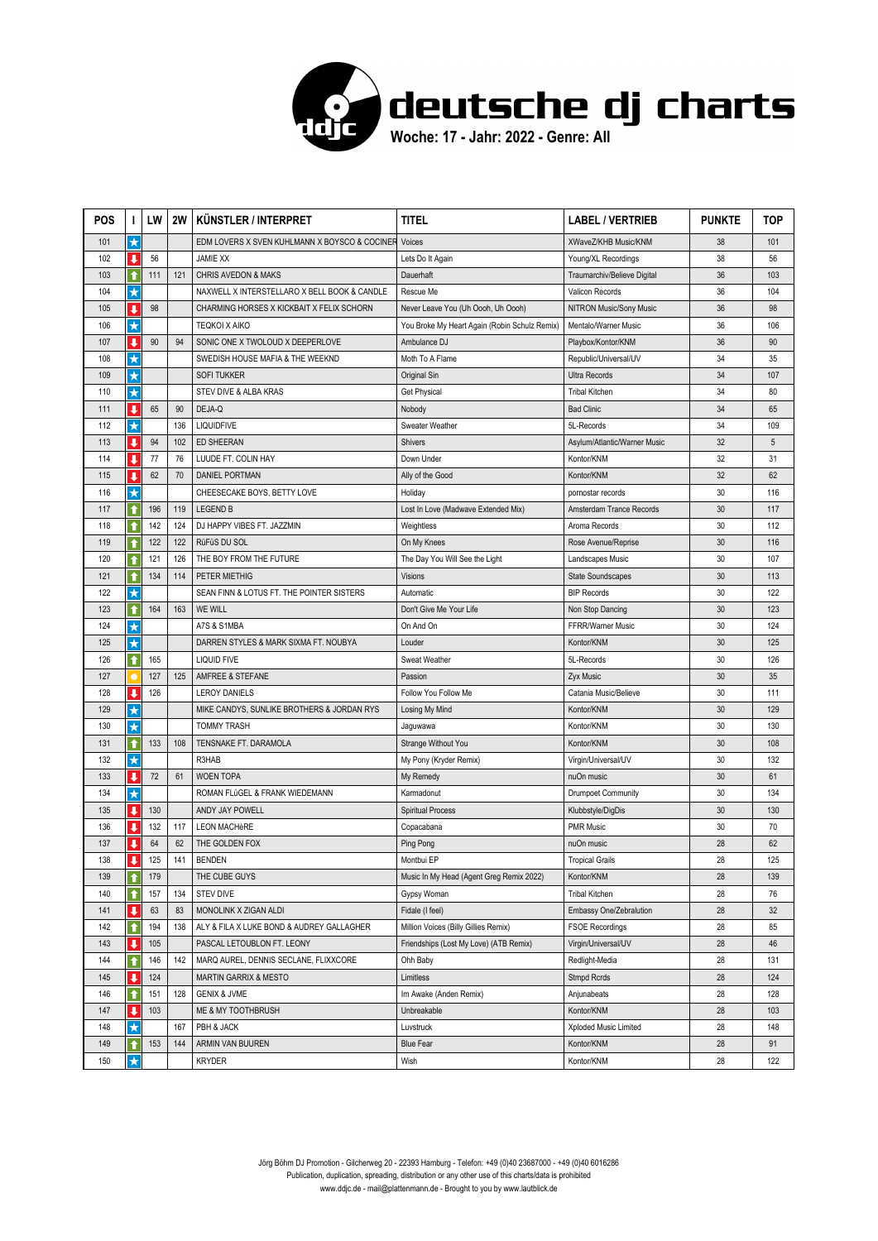

| <b>POS</b> | I.                      | LW  | 2W  | KÜNSTLER / INTERPRET                          | titel                                         | <b>LABEL / VERTRIEB</b>      | <b>PUNKTE</b> | TOP |
|------------|-------------------------|-----|-----|-----------------------------------------------|-----------------------------------------------|------------------------------|---------------|-----|
| 101        | $\star$                 |     |     | EDM LOVERS X SVEN KUHLMANN X BOYSCO & COCINER | Voices                                        | XWaveZ/KHB Music/KNM         | 38            | 101 |
| 102        | J                       | 56  |     | <b>JAMIE XX</b>                               | Lets Do It Again                              | Young/XL Recordings          | 38            | 56  |
| 103        | ↑                       | 111 | 121 | <b>CHRIS AVEDON &amp; MAKS</b>                | Dauerhaft                                     | Traumarchiv/Believe Digital  | 36            | 103 |
| 104        | $\star$                 |     |     | NAXWELL X INTERSTELLARO X BELL BOOK & CANDLE  | Rescue Me                                     | Valicon Records              | 36            | 104 |
| 105        | $\overline{\mathbf{I}}$ | 98  |     | CHARMING HORSES X KICKBAIT X FELIX SCHORN     | Never Leave You (Uh Oooh, Uh Oooh)            | NITRON Music/Sony Music      | 36            | 98  |
| 106        | $\star$                 |     |     | <b>TEQKOI X AIKO</b>                          | You Broke My Heart Again (Robin Schulz Remix) | Mentalo/Warner Music         | 36            | 106 |
| 107        | u                       | 90  | 94  | SONIC ONE X TWOLOUD X DEEPERLOVE              | Ambulance DJ                                  | Playbox/Kontor/KNM           | 36            | 90  |
| 108        | $\star$                 |     |     | SWEDISH HOUSE MAFIA & THE WEEKND              | Moth To A Flame                               | Republic/Universal/UV        | 34            | 35  |
| 109        | $\star$                 |     |     | <b>SOFI TUKKER</b>                            | Original Sin                                  | Ultra Records                | 34            | 107 |
| 110        | $\star$                 |     |     | STEV DIVE & ALBA KRAS                         | <b>Get Physical</b>                           | <b>Tribal Kitchen</b>        | 34            | 80  |
| 111        | J                       | 65  | 90  | DEJA-Q                                        | Nobody                                        | <b>Bad Clinic</b>            | 34            | 65  |
| 112        | $\star$                 |     | 136 | <b>LIQUIDFIVE</b>                             | Sweater Weather                               | 5L-Records                   | 34            | 109 |
| 113        | $\overline{\mathbf{I}}$ | 94  | 102 | ED SHEERAN                                    | Shivers                                       | Asylum/Atlantic/Warner Music | 32            | 5   |
| 114        | u                       | 77  | 76  | LUUDE FT. COLIN HAY                           | Down Under                                    | Kontor/KNM                   | 32            | 31  |
| 115        | J                       | 62  | 70  | <b>DANIEL PORTMAN</b>                         | Ally of the Good                              | Kontor/KNM                   | 32            | 62  |
| 116        | $\star$                 |     |     | CHEESECAKE BOYS, BETTY LOVE                   | Holiday                                       | pornostar records            | 30            | 116 |
| 117        | $\bullet$               | 196 | 119 | <b>LEGEND B</b>                               | Lost In Love (Madwave Extended Mix)           | Amsterdam Trance Records     | 30            | 117 |
| 118        | $\ddot{\textbf{t}}$     | 142 | 124 | DJ HAPPY VIBES FT. JAZZMIN                    | Weightless                                    | Aroma Records                | 30            | 112 |
| 119        | ↑                       | 122 | 122 | RüFüS DU SOL                                  | On My Knees                                   | Rose Avenue/Reprise          | 30            | 116 |
| 120        | ↑                       | 121 | 126 | THE BOY FROM THE FUTURE                       | The Day You Will See the Light                | Landscapes Music             | 30            | 107 |
| 121        | $\bullet$               | 134 | 114 | PETER MIETHIG                                 | <b>Visions</b>                                | <b>State Soundscapes</b>     | 30            | 113 |
| 122        | $\star$                 |     |     | SEAN FINN & LOTUS FT. THE POINTER SISTERS     | Automatic                                     | <b>BIP Records</b>           | 30            | 122 |
| 123        | ↑                       | 164 | 163 | <b>WE WILL</b>                                | Don't Give Me Your Life                       | Non Stop Dancing             | 30            | 123 |
| 124        | $\star$                 |     |     | A7S & S1MBA                                   | On And On                                     | FFRR/Warner Music            | 30            | 124 |
| 125        | $\star$                 |     |     | DARREN STYLES & MARK SIXMA FT. NOUBYA         | Louder                                        | Kontor/KNM                   | 30            | 125 |
| 126        | ↑                       | 165 |     | <b>LIQUID FIVE</b>                            | <b>Sweat Weather</b>                          | 5L-Records                   | 30            | 126 |
| 127        |                         | 127 | 125 | AMFREE & STEFANE                              | Passion                                       | Zyx Music                    | 30            | 35  |
| 128        | J                       | 126 |     | <b>LEROY DANIELS</b>                          | Follow You Follow Me                          | Catania Music/Believe        | 30            | 111 |
| 129        | $\star$                 |     |     | MIKE CANDYS, SUNLIKE BROTHERS & JORDAN RYS    | Losing My Mind                                | Kontor/KNM                   | 30            | 129 |
| 130        | $\star$                 |     |     | <b>TOMMY TRASH</b>                            | Jaguwawa                                      | Kontor/KNM                   | 30            | 130 |
| 131        | ↑                       | 133 | 108 | TENSNAKE FT. DARAMOLA                         | Strange Without You                           | Kontor/KNM                   | 30            | 108 |
| 132        | $\star$                 |     |     | R3HAB                                         | My Pony (Kryder Remix)                        | Virgin/Universal/UV          | 30            | 132 |
| 133        | $\ddot{\phantom{a}}$    | 72  | 61  | <b>WOEN TOPA</b>                              | My Remedy                                     | nuOn music                   | 30            | 61  |
| 134        | $\star$                 |     |     | ROMAN FLüGEL & FRANK WIEDEMANN                | Karmadonut                                    | Drumpoet Community           | 30            | 134 |
| 135        | $\mathbf{I}$            | 130 |     | ANDY JAY POWELL                               | <b>Spiritual Process</b>                      | Klubbstyle/DigDis            | 30            | 130 |
| 136        | $\overline{\mathbf{I}}$ | 132 | 117 | <b>LEON MACHèRE</b>                           | Copacabana                                    | <b>PMR Music</b>             | 30            | 70  |
| 137        | J                       | 64  | 62  | THE GOLDEN FOX                                | Ping Pong                                     | nuOn music                   | 28            | 62  |
| 138        | ш                       | 125 | 141 | <b>BENDEN</b>                                 | Montbui EP                                    | <b>Tropical Grails</b>       | 28            | 125 |
| 139        | ↑                       | 179 |     | THE CUBE GUYS                                 | Music In My Head (Agent Greg Remix 2022)      | Kontor/KNM                   | 28            | 139 |
| 140        | ↑                       | 157 | 134 | <b>STEV DIVE</b>                              | Gypsy Woman                                   | <b>Tribal Kitchen</b>        | 28            | 76  |
| 141        | ↓                       | 63  | 83  | MONOLINK X ZIGAN ALDI                         | Fidale (I feel)                               | Embassy One/Zebralution      | 28            | 32  |
| 142        | ↑                       | 194 | 138 | ALY & FILA X LUKE BOND & AUDREY GALLAGHER     | Million Voices (Billy Gillies Remix)          | <b>FSOE Recordings</b>       | 28            | 85  |
| 143        | J                       | 105 |     | PASCAL LETOUBLON FT. LEONY                    | Friendships (Lost My Love) (ATB Remix)        | Virgin/Universal/UV          | 28            | 46  |
| 144        | $\bullet$               | 146 | 142 | MARQ AUREL, DENNIS SECLANE, FLIXXCORE         | Ohh Baby                                      | Redlight-Media               | 28            | 131 |
| 145        | $\overline{\mathbf{I}}$ | 124 |     | <b>MARTIN GARRIX &amp; MESTO</b>              | Limitless                                     | Stmpd Rcrds                  | 28            | 124 |
| 146        | ↑                       | 151 | 128 | <b>GENIX &amp; JVME</b>                       | Im Awake (Anden Remix)                        | Anjunabeats                  | 28            | 128 |
| 147        | ↓                       | 103 |     | ME & MY TOOTHBRUSH                            | Unbreakable                                   | Kontor/KNM                   | 28            | 103 |
| 148        | $\star$                 |     | 167 | PBH & JACK                                    | Luvstruck                                     | Xploded Music Limited        | 28            | 148 |
| 149        | ↑                       | 153 | 144 | ARMIN VAN BUUREN                              | <b>Blue Fear</b>                              | Kontor/KNM                   | 28            | 91  |
| 150        | $\star$                 |     |     | <b>KRYDER</b>                                 | Wish                                          | Kontor/KNM                   | 28            | 122 |

Jörg Böhm DJ Promotion - Gilcherweg 20 - 22393 Hamburg - Telefon: +49 (0)40 23687000 - +49 (0)40 6016286 Publication, duplication, spreading, distribution or any other use of this charts/data is prohibited www.ddjc.de - mail@plattenmann.de - Brought to you by www.lautblick.de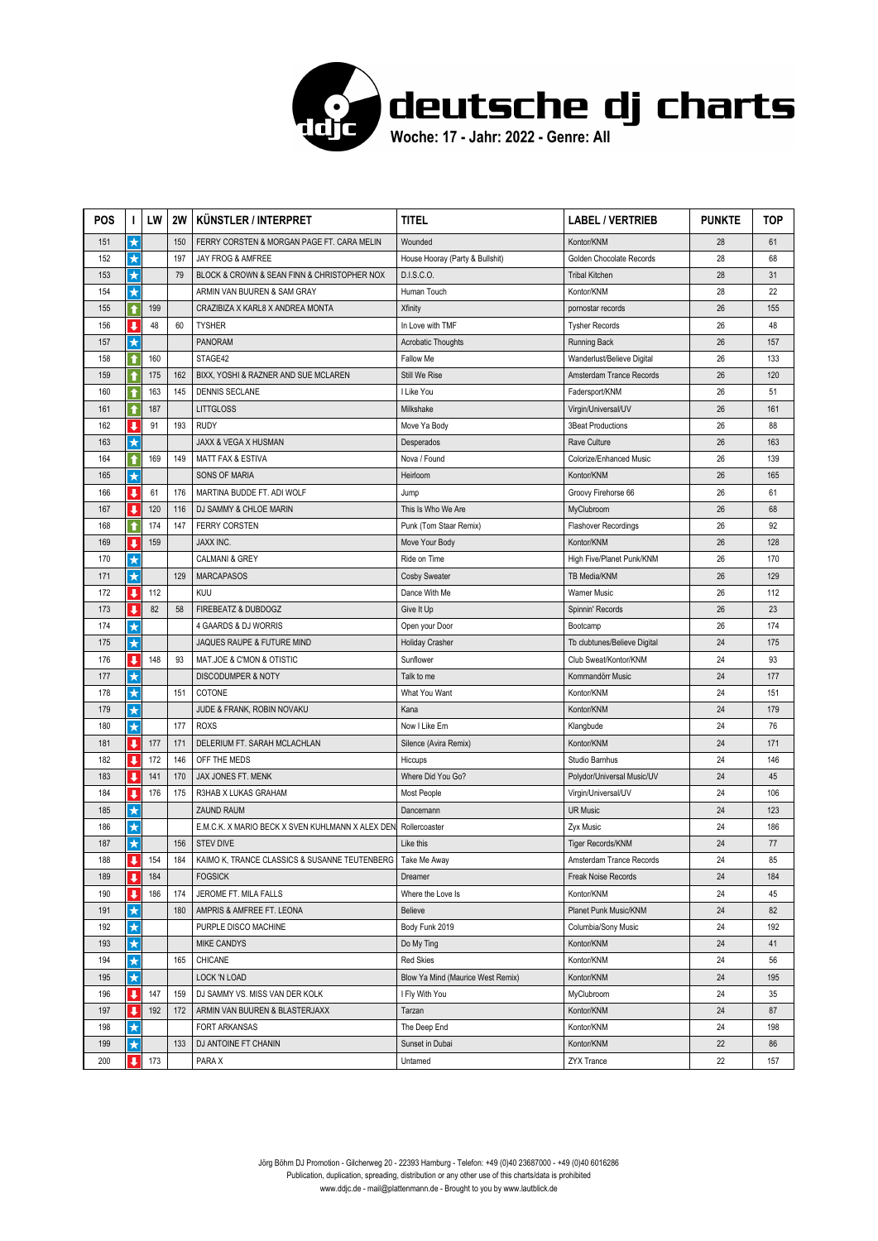

| <b>POS</b> | I.                       | LW  | 2W  | KÜNSTLER / INTERPRET                             | titel                             | <b>LABEL / VERTRIEB</b>      | <b>PUNKTE</b> | TOP |
|------------|--------------------------|-----|-----|--------------------------------------------------|-----------------------------------|------------------------------|---------------|-----|
| 151        | $\star$                  |     | 150 | FERRY CORSTEN & MORGAN PAGE FT. CARA MELIN       | Wounded                           | Kontor/KNM                   | 28            | 61  |
| 152        | $\star$                  |     | 197 | JAY FROG & AMFREE                                | House Hooray (Party & Bullshit)   | Golden Chocolate Records     | 28            | 68  |
| 153        | $\star$                  |     | 79  | BLOCK & CROWN & SEAN FINN & CHRISTOPHER NOX      | D.I.S.C.O.                        | <b>Tribal Kitchen</b>        | 28            | 31  |
| 154        | $\star$                  |     |     | ARMIN VAN BUUREN & SAM GRAY                      | Human Touch                       | Kontor/KNM                   | 28            | 22  |
| 155        | $\bullet$                | 199 |     | CRAZIBIZA X KARL8 X ANDREA MONTA                 | <b>Xfinity</b>                    | pornostar records            | 26            | 155 |
| 156        | J                        | 48  | 60  | <b>TYSHER</b>                                    | In Love with TMF                  | <b>Tysher Records</b>        | 26            | 48  |
| 157        | $\star$                  |     |     | <b>PANORAM</b>                                   | <b>Acrobatic Thoughts</b>         | <b>Running Back</b>          | 26            | 157 |
| 158        | ↑                        | 160 |     | STAGE42                                          | Fallow Me                         | Wanderlust/Believe Digital   | 26            | 133 |
| 159        | ↑                        | 175 | 162 | BIXX, YOSHI & RAZNER AND SUE MCLAREN             | Still We Rise                     | Amsterdam Trance Records     | 26            | 120 |
| 160        | ↑                        | 163 | 145 | <b>DENNIS SECLANE</b>                            | I Like You                        | Fadersport/KNM               | 26            | 51  |
| 161        | 1                        | 187 |     | <b>LITTGLOSS</b>                                 | Milkshake                         | Virgin/Universal/UV          | 26            | 161 |
| 162        | ↓                        | 91  | 193 | <b>RUDY</b>                                      | Move Ya Body                      | <b>3Beat Productions</b>     | 26            | 88  |
| 163        | $\star$                  |     |     | JAXX & VEGA X HUSMAN                             | Desperados                        | Rave Culture                 | 26            | 163 |
| 164        | ↑                        | 169 | 149 | <b>MATT FAX &amp; ESTIVA</b>                     | Nova / Found                      | Colorize/Enhanced Music      | 26            | 139 |
| 165        | $\star$                  |     |     | <b>SONS OF MARIA</b>                             | Heirloom                          | Kontor/KNM                   | 26            | 165 |
| 166        | $\overline{\phantom{a}}$ | 61  | 176 | MARTINA BUDDE FT. ADI WOLF                       | Jump                              | Groovy Firehorse 66          | 26            | 61  |
| 167        | $\overline{\phantom{a}}$ | 120 | 116 | DJ SAMMY & CHLOE MARIN                           | This Is Who We Are                | MyClubroom                   | 26            | 68  |
| 168        | ↑                        | 174 | 147 | <b>FERRY CORSTEN</b>                             | Punk (Tom Staar Remix)            | Flashover Recordings         | 26            | 92  |
| 169        | J                        | 159 |     | <b>JAXX INC.</b>                                 | Move Your Body                    | Kontor/KNM                   | 26            | 128 |
| 170        | $\star$                  |     |     | <b>CALMANI &amp; GREY</b>                        | Ride on Time                      | High Five/Planet Punk/KNM    | 26            | 170 |
| 171        | $\star$                  |     | 129 | <b>MARCAPASOS</b>                                | Cosby Sweater                     | TB Media/KNM                 | 26            | 129 |
| 172        | ↓                        | 112 |     | KUU                                              | Dance With Me                     | <b>Warner Music</b>          | 26            | 112 |
| 173        | J                        | 82  | 58  | FIREBEATZ & DUBDOGZ                              | Give It Up                        | Spinnin' Records             | 26            | 23  |
| 174        | $\star$                  |     |     | 4 GAARDS & DJ WORRIS                             | Open your Door                    | Bootcamp                     | 26            | 174 |
| 175        | $\star$                  |     |     | JAQUES RAUPE & FUTURE MIND                       | Holiday Crasher                   | Tb clubtunes/Believe Digital | 24            | 175 |
| 176        | $\overline{\mathbf{I}}$  | 148 | 93  | MAT.JOE & C'MON & OTISTIC                        | Sunflower                         | Club Sweat/Kontor/KNM        | 24            | 93  |
| 177        | $\star$                  |     |     | DISCODUMPER & NOTY                               | Talk to me                        | Kommandörr Music             | 24            | 177 |
| 178        | $\star$                  |     | 151 | COTONE                                           | What You Want                     | Kontor/KNM                   | 24            | 151 |
| 179        | $\star$                  |     |     | JUDE & FRANK, ROBIN NOVAKU                       | Kana                              | Kontor/KNM                   | 24            | 179 |
| 180        | $\star$                  |     | 177 | <b>ROXS</b>                                      | Now I Like Em                     | Klangbude                    | 24            | 76  |
| 181        | ↓                        | 177 | 171 | DELERIUM FT. SARAH MCLACHLAN                     | Silence (Avira Remix)             | Kontor/KNM                   | 24            | 171 |
| 182        | $\overline{\phantom{a}}$ | 172 | 146 | OFF THE MEDS                                     | Hiccups                           | Studio Barnhus               | 24            | 146 |
| 183        | J                        | 141 | 170 | JAX JONES FT. MENK                               | Where Did You Go?                 | Polydor/Universal Music/UV   | 24            | 45  |
| 184        | J                        | 176 | 175 | R3HAB X LUKAS GRAHAM                             | Most People                       | Virgin/Universal/UV          | 24            | 106 |
| 185        | $\star$                  |     |     | <b>ZAUND RAUM</b>                                | Dancemann                         | <b>UR Music</b>              | 24            | 123 |
| 186        | $\star$                  |     |     | E.M.C.K. X MARIO BECK X SVEN KUHLMANN X ALEX DEN | Rollercoaster                     | Zyx Music                    | 24            | 186 |
| 187        | $\star$                  |     | 156 | <b>STEV DIVE</b>                                 | Like this                         | Tiger Records/KNM            | 24            | 77  |
| 188        | ш                        | 154 | 184 | KAIMO K, TRANCE CLASSICS & SUSANNE TEUTENBERG    | Take Me Away                      | Amsterdam Trance Records     | 24            | 85  |
| 189        | ↓                        | 184 |     | <b>FOGSICK</b>                                   | Dreamer                           | Freak Noise Records          | 24            | 184 |
| 190        | ↓                        | 186 | 174 | JEROME FT. MILA FALLS                            | Where the Love Is                 | Kontor/KNM                   | 24            | 45  |
| 191        | $\star$                  |     | 180 | AMPRIS & AMFREE FT. LEONA                        | Believe                           | Planet Punk Music/KNM        | 24            | 82  |
| 192        | $\star$                  |     |     | PURPLE DISCO MACHINE                             | Body Funk 2019                    | Columbia/Sony Music          | 24            | 192 |
| 193        | $\star$                  |     |     | <b>MIKE CANDYS</b>                               | Do My Ting                        | Kontor/KNM                   | 24            | 41  |
| 194        | $\star$                  |     | 165 | CHICANE                                          | <b>Red Skies</b>                  | Kontor/KNM                   | 24            | 56  |
| 195        | $\star$                  |     |     | LOCK 'N LOAD                                     | Blow Ya Mind (Maurice West Remix) | Kontor/KNM                   | 24            | 195 |
| 196        | $\overline{\mathbf{I}}$  | 147 | 159 | DJ SAMMY VS. MISS VAN DER KOLK                   | I Fly With You                    | MyClubroom                   | 24            | 35  |
| 197        | ↓                        | 192 | 172 | ARMIN VAN BUUREN & BLASTERJAXX                   | Tarzan                            | Kontor/KNM                   | 24            | 87  |
| 198        | $\star$                  |     |     | FORT ARKANSAS                                    | The Deep End                      | Kontor/KNM                   | 24            | 198 |
| 199        | $\star$                  |     | 133 | DJ ANTOINE FT CHANIN                             | Sunset in Dubai                   | Kontor/KNM                   | 22            | 86  |
| 200        | $\overline{\phantom{a}}$ | 173 |     | PARA X                                           | Untamed                           | ZYX Trance                   | 22            | 157 |